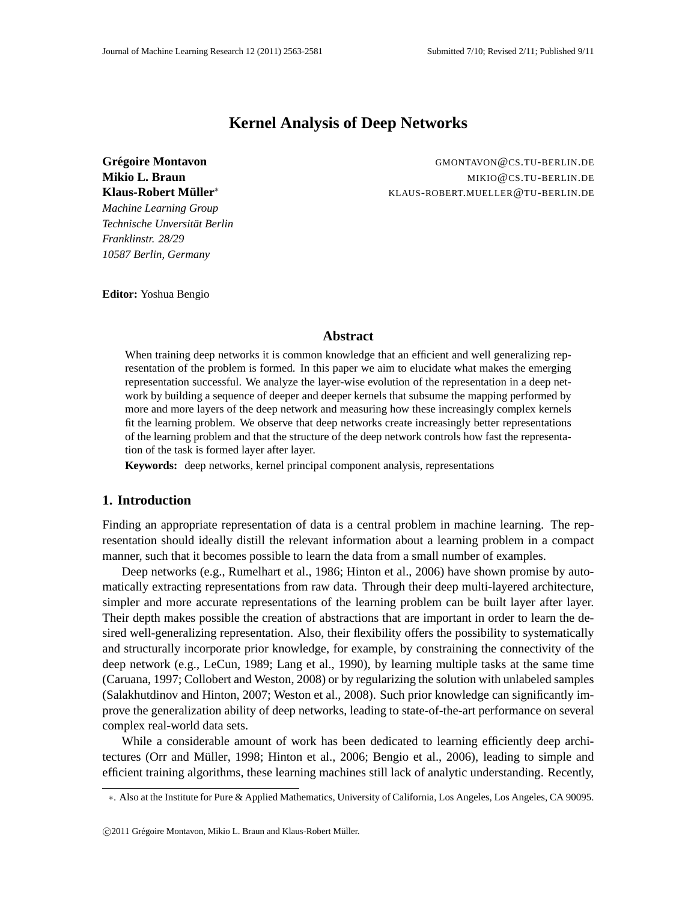# **Kernel Analysis of Deep Networks**

**Klaus-Robert Muller ¨** *Machine Learning Group Technische Unversitat Berlin ¨*

**Grégoire Montavon** *GMONTAVON@CS.TU-BERLIN.DE* **Mikio L. Braun** MIKIO@CS.TU-BERLIN.DE ∗ KLAUS-ROBERT.MUELLER@TU-BERLIN.DE

**Editor:** Yoshua Bengio

*Franklinstr. 28/29 10587 Berlin, Germany*

#### **Abstract**

When training deep networks it is common knowledge that an efficient and well generalizing representation of the problem is formed. In this paper we aim to elucidate what makes the emerging representation successful. We analyze the layer-wise evolution of the representation in a deep network by building a sequence of deeper and deeper kernels that subsume the mapping performed by more and more layers of the deep network and measuring how these increasingly complex kernels fit the learning problem. We observe that deep networks create increasingly better representations of the learning problem and that the structure of the deep network controls how fast the representation of the task is formed layer after layer.

**Keywords:** deep networks, kernel principal component analysis, representations

## **1. Introduction**

Finding an appropriate representation of data is a central problem in machine learning. The representation should ideally distill the relevant information about a learning problem in a compact manner, such that it becomes possible to learn the data from a small number of examples.

Deep networks (e.g., Rumelhart et al., 1986; Hinton et al., 2006) have shown promise by automatically extracting representations from raw data. Through their deep multi-layered architecture, simpler and more accurate representations of the learning problem can be built layer after layer. Their depth makes possible the creation of abstractions that are important in order to learn the desired well-generalizing representation. Also, their flexibility offers the possibility to systematically and structurally incorporate prior knowledge, for example, by constraining the connectivity of the deep network (e.g., LeCun, 1989; Lang et al., 1990), by learning multiple tasks at the same time (Caruana, 1997; Collobert and Weston, 2008) or by regularizing the solution with unlabeled samples (Salakhutdinov and Hinton, 2007; Weston et al., 2008). Such prior knowledge can significantly improve the generalization ability of deep networks, leading to state-of-the-art performance on several complex real-world data sets.

While a considerable amount of work has been dedicated to learning efficiently deep architectures (Orr and Müller, 1998; Hinton et al., 2006; Bengio et al., 2006), leading to simple and efficient training algorithms, these learning machines still lack of analytic understanding. Recently,

<sup>∗</sup>. Also at the Institute for Pure & Applied Mathematics, University of California, Los Angeles, Los Angeles, CA 90095.

<sup>© 2011</sup> Grégoire Montavon, Mikio L. Braun and Klaus-Robert Müller.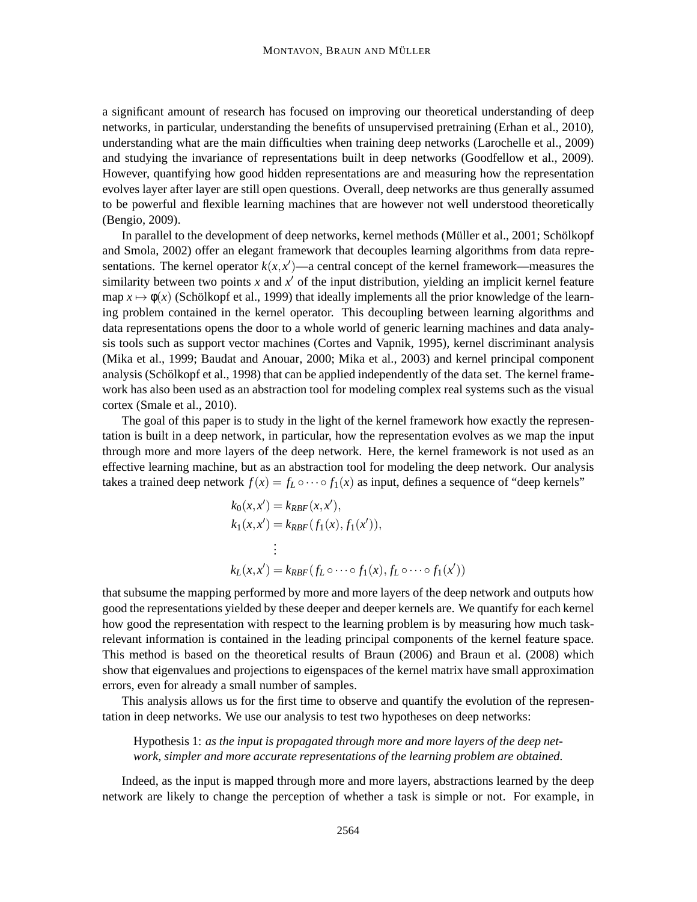a significant amount of research has focused on improving our theoretical understanding of deep networks, in particular, understanding the benefits of unsupervised pretraining (Erhan et al., 2010), understanding what are the main difficulties when training deep networks (Larochelle et al., 2009) and studying the invariance of representations built in deep networks (Goodfellow et al., 2009). However, quantifying how good hidden representations are and measuring how the representation evolves layer after layer are still open questions. Overall, deep networks are thus generally assumed to be powerful and flexible learning machines that are however not well understood theoretically (Bengio, 2009).

In parallel to the development of deep networks, kernel methods (Müller et al., 2001; Schölkopf and Smola, 2002) offer an elegant framework that decouples learning algorithms from data representations. The kernel operator  $k(x, x')$ —a central concept of the kernel framework—measures the similarity between two points *x* and *x* ′ of the input distribution, yielding an implicit kernel feature map  $x \mapsto \phi(x)$  (Schölkopf et al., 1999) that ideally implements all the prior knowledge of the learning problem contained in the kernel operator. This decoupling between learning algorithms and data representations opens the door to a whole world of generic learning machines and data analysis tools such as support vector machines (Cortes and Vapnik, 1995), kernel discriminant analysis (Mika et al., 1999; Baudat and Anouar, 2000; Mika et al., 2003) and kernel principal component analysis (Schölkopf et al., 1998) that can be applied independently of the data set. The kernel framework has also been used as an abstraction tool for modeling complex real systems such as the visual cortex (Smale et al., 2010).

The goal of this paper is to study in the light of the kernel framework how exactly the representation is built in a deep network, in particular, how the representation evolves as we map the input through more and more layers of the deep network. Here, the kernel framework is not used as an effective learning machine, but as an abstraction tool for modeling the deep network. Our analysis takes a trained deep network  $f(x) = f_L \circ \cdots \circ f_1(x)$  as input, defines a sequence of "deep kernels"

$$
k_0(x, x') = k_{RBF}(x, x'),
$$
  
\n
$$
k_1(x, x') = k_{RBF}(f_1(x), f_1(x')),
$$
  
\n
$$
\vdots
$$
  
\n
$$
k_L(x, x') = k_{RBF}(f_L \circ \cdots \circ f_1(x), f_L \circ \cdots \circ f_1(x'))
$$

that subsume the mapping performed by more and more layers of the deep network and outputs how good the representations yielded by these deeper and deeper kernels are. We quantify for each kernel how good the representation with respect to the learning problem is by measuring how much taskrelevant information is contained in the leading principal components of the kernel feature space. This method is based on the theoretical results of Braun (2006) and Braun et al. (2008) which show that eigenvalues and projections to eigenspaces of the kernel matrix have small approximation errors, even for already a small number of samples.

This analysis allows us for the first time to observe and quantify the evolution of the representation in deep networks. We use our analysis to test two hypotheses on deep networks:

Hypothesis 1: *as the input is propagated through more and more layers of the deep network, simpler and more accurate representations of the learning problem are obtained.*

Indeed, as the input is mapped through more and more layers, abstractions learned by the deep network are likely to change the perception of whether a task is simple or not. For example, in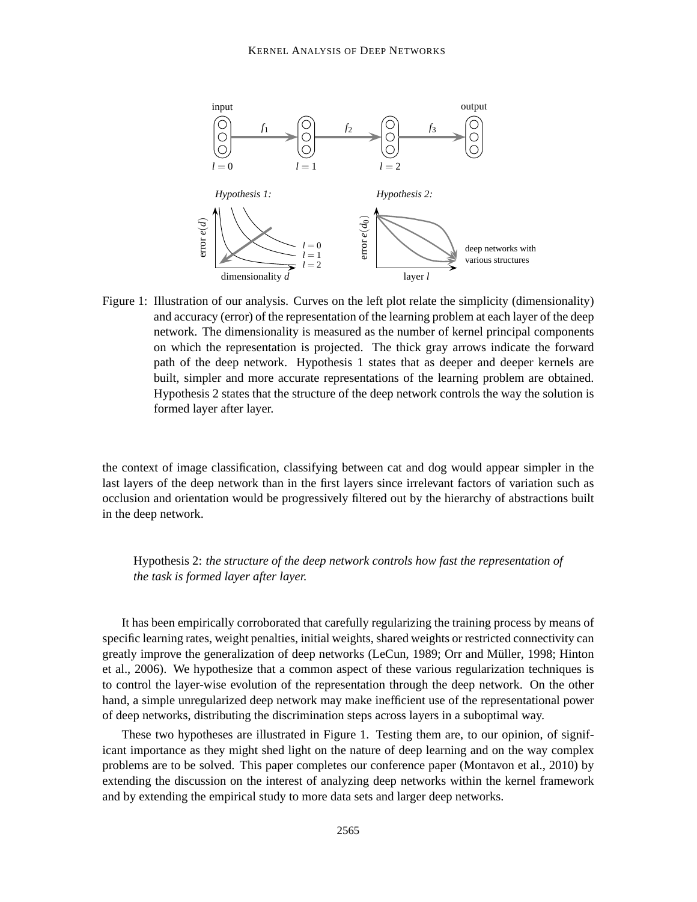

Figure 1: Illustration of our analysis. Curves on the left plot relate the simplicity (dimensionality) and accuracy (error) of the representation of the learning problem at each layer of the deep network. The dimensionality is measured as the number of kernel principal components on which the representation is projected. The thick gray arrows indicate the forward path of the deep network. Hypothesis 1 states that as deeper and deeper kernels are built, simpler and more accurate representations of the learning problem are obtained. Hypothesis 2 states that the structure of the deep network controls the way the solution is formed layer after layer.

the context of image classification, classifying between cat and dog would appear simpler in the last layers of the deep network than in the first layers since irrelevant factors of variation such as occlusion and orientation would be progressively filtered out by the hierarchy of abstractions built in the deep network.

Hypothesis 2: *the structure of the deep network controls how fast the representation of the task is formed layer after layer.*

It has been empirically corroborated that carefully regularizing the training process by means of specific learning rates, weight penalties, initial weights, shared weights or restricted connectivity can greatly improve the generalization of deep networks (LeCun, 1989; Orr and Müller, 1998; Hinton et al., 2006). We hypothesize that a common aspect of these various regularization techniques is to control the layer-wise evolution of the representation through the deep network. On the other hand, a simple unregularized deep network may make inefficient use of the representational power of deep networks, distributing the discrimination steps across layers in a suboptimal way.

These two hypotheses are illustrated in Figure 1. Testing them are, to our opinion, of significant importance as they might shed light on the nature of deep learning and on the way complex problems are to be solved. This paper completes our conference paper (Montavon et al., 2010) by extending the discussion on the interest of analyzing deep networks within the kernel framework and by extending the empirical study to more data sets and larger deep networks.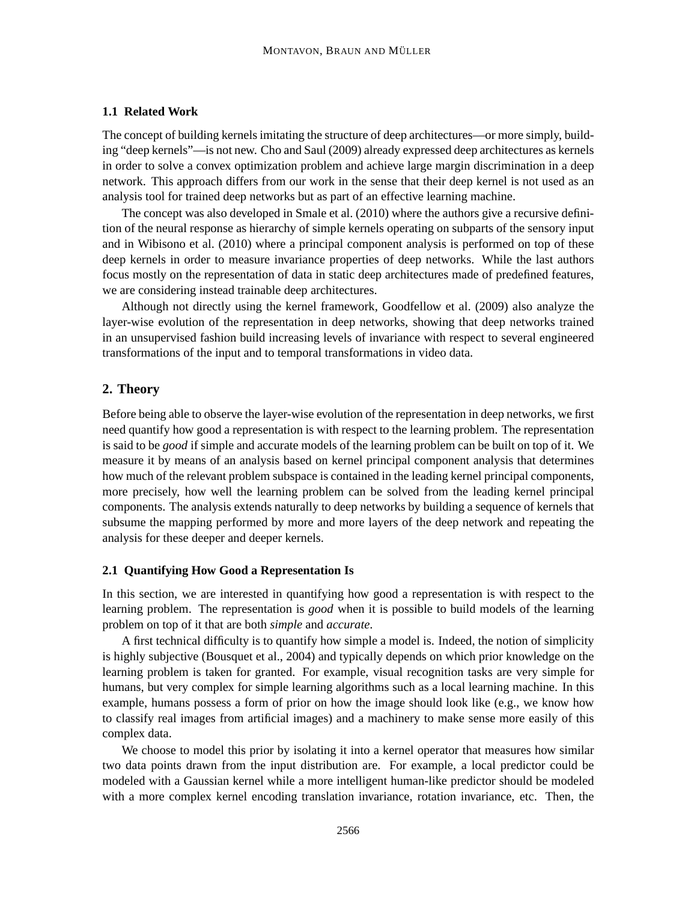## **1.1 Related Work**

The concept of building kernels imitating the structure of deep architectures—or more simply, building "deep kernels"—is not new. Cho and Saul (2009) already expressed deep architectures as kernels in order to solve a convex optimization problem and achieve large margin discrimination in a deep network. This approach differs from our work in the sense that their deep kernel is not used as an analysis tool for trained deep networks but as part of an effective learning machine.

The concept was also developed in Smale et al. (2010) where the authors give a recursive definition of the neural response as hierarchy of simple kernels operating on subparts of the sensory input and in Wibisono et al. (2010) where a principal component analysis is performed on top of these deep kernels in order to measure invariance properties of deep networks. While the last authors focus mostly on the representation of data in static deep architectures made of predefined features, we are considering instead trainable deep architectures.

Although not directly using the kernel framework, Goodfellow et al. (2009) also analyze the layer-wise evolution of the representation in deep networks, showing that deep networks trained in an unsupervised fashion build increasing levels of invariance with respect to several engineered transformations of the input and to temporal transformations in video data.

## **2. Theory**

Before being able to observe the layer-wise evolution of the representation in deep networks, we first need quantify how good a representation is with respect to the learning problem. The representation is said to be *good* if simple and accurate models of the learning problem can be built on top of it. We measure it by means of an analysis based on kernel principal component analysis that determines how much of the relevant problem subspace is contained in the leading kernel principal components, more precisely, how well the learning problem can be solved from the leading kernel principal components. The analysis extends naturally to deep networks by building a sequence of kernels that subsume the mapping performed by more and more layers of the deep network and repeating the analysis for these deeper and deeper kernels.

### **2.1 Quantifying How Good a Representation Is**

In this section, we are interested in quantifying how good a representation is with respect to the learning problem. The representation is *good* when it is possible to build models of the learning problem on top of it that are both *simple* and *accurate*.

A first technical difficulty is to quantify how simple a model is. Indeed, the notion of simplicity is highly subjective (Bousquet et al., 2004) and typically depends on which prior knowledge on the learning problem is taken for granted. For example, visual recognition tasks are very simple for humans, but very complex for simple learning algorithms such as a local learning machine. In this example, humans possess a form of prior on how the image should look like (e.g., we know how to classify real images from artificial images) and a machinery to make sense more easily of this complex data.

We choose to model this prior by isolating it into a kernel operator that measures how similar two data points drawn from the input distribution are. For example, a local predictor could be modeled with a Gaussian kernel while a more intelligent human-like predictor should be modeled with a more complex kernel encoding translation invariance, rotation invariance, etc. Then, the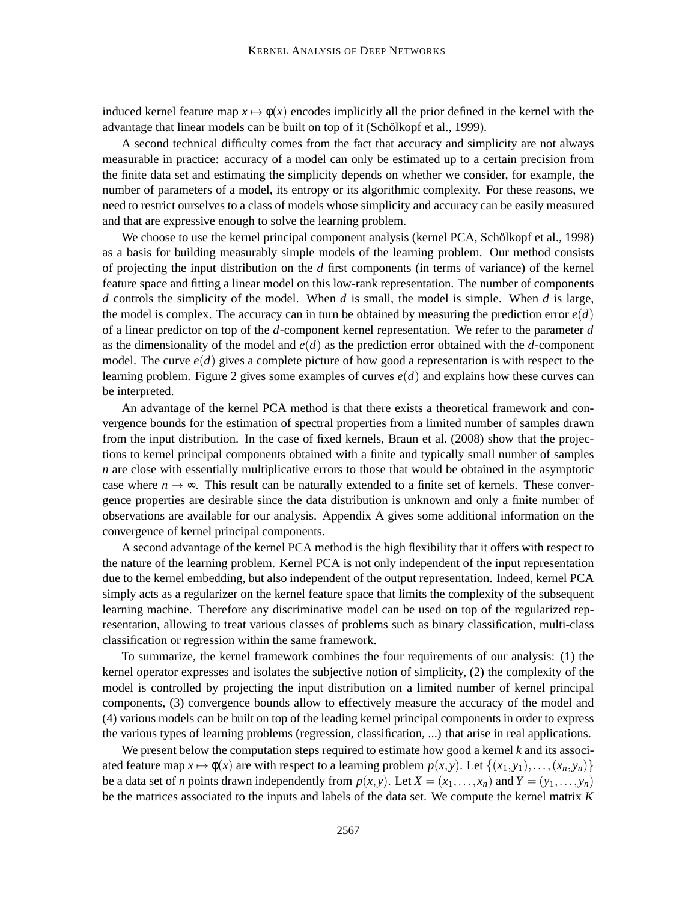induced kernel feature map  $x \mapsto \phi(x)$  encodes implicitly all the prior defined in the kernel with the advantage that linear models can be built on top of it (Schölkopf et al., 1999).

A second technical difficulty comes from the fact that accuracy and simplicity are not always measurable in practice: accuracy of a model can only be estimated up to a certain precision from the finite data set and estimating the simplicity depends on whether we consider, for example, the number of parameters of a model, its entropy or its algorithmic complexity. For these reasons, we need to restrict ourselves to a class of models whose simplicity and accuracy can be easily measured and that are expressive enough to solve the learning problem.

We choose to use the kernel principal component analysis (kernel PCA, Schölkopf et al., 1998) as a basis for building measurably simple models of the learning problem. Our method consists of projecting the input distribution on the *d* first components (in terms of variance) of the kernel feature space and fitting a linear model on this low-rank representation. The number of components *d* controls the simplicity of the model. When *d* is small, the model is simple. When *d* is large, the model is complex. The accuracy can in turn be obtained by measuring the prediction error  $e(d)$ of a linear predictor on top of the *d*-component kernel representation. We refer to the parameter *d* as the dimensionality of the model and *e*(*d*) as the prediction error obtained with the *d*-component model. The curve  $e(d)$  gives a complete picture of how good a representation is with respect to the learning problem. Figure 2 gives some examples of curves *e*(*d*) and explains how these curves can be interpreted.

An advantage of the kernel PCA method is that there exists a theoretical framework and convergence bounds for the estimation of spectral properties from a limited number of samples drawn from the input distribution. In the case of fixed kernels, Braun et al. (2008) show that the projections to kernel principal components obtained with a finite and typically small number of samples *n* are close with essentially multiplicative errors to those that would be obtained in the asymptotic case where  $n \to \infty$ . This result can be naturally extended to a finite set of kernels. These convergence properties are desirable since the data distribution is unknown and only a finite number of observations are available for our analysis. Appendix A gives some additional information on the convergence of kernel principal components.

A second advantage of the kernel PCA method is the high flexibility that it offers with respect to the nature of the learning problem. Kernel PCA is not only independent of the input representation due to the kernel embedding, but also independent of the output representation. Indeed, kernel PCA simply acts as a regularizer on the kernel feature space that limits the complexity of the subsequent learning machine. Therefore any discriminative model can be used on top of the regularized representation, allowing to treat various classes of problems such as binary classification, multi-class classification or regression within the same framework.

To summarize, the kernel framework combines the four requirements of our analysis: (1) the kernel operator expresses and isolates the subjective notion of simplicity, (2) the complexity of the model is controlled by projecting the input distribution on a limited number of kernel principal components, (3) convergence bounds allow to effectively measure the accuracy of the model and (4) various models can be built on top of the leading kernel principal components in order to express the various types of learning problems (regression, classification, ...) that arise in real applications.

We present below the computation steps required to estimate how good a kernel *k* and its associated feature map  $x \mapsto \phi(x)$  are with respect to a learning problem  $p(x, y)$ . Let  $\{(x_1, y_1), \ldots, (x_n, y_n)\}$ be a data set of *n* points drawn independently from  $p(x, y)$ . Let  $X = (x_1, \ldots, x_n)$  and  $Y = (y_1, \ldots, y_n)$ be the matrices associated to the inputs and labels of the data set. We compute the kernel matrix *K*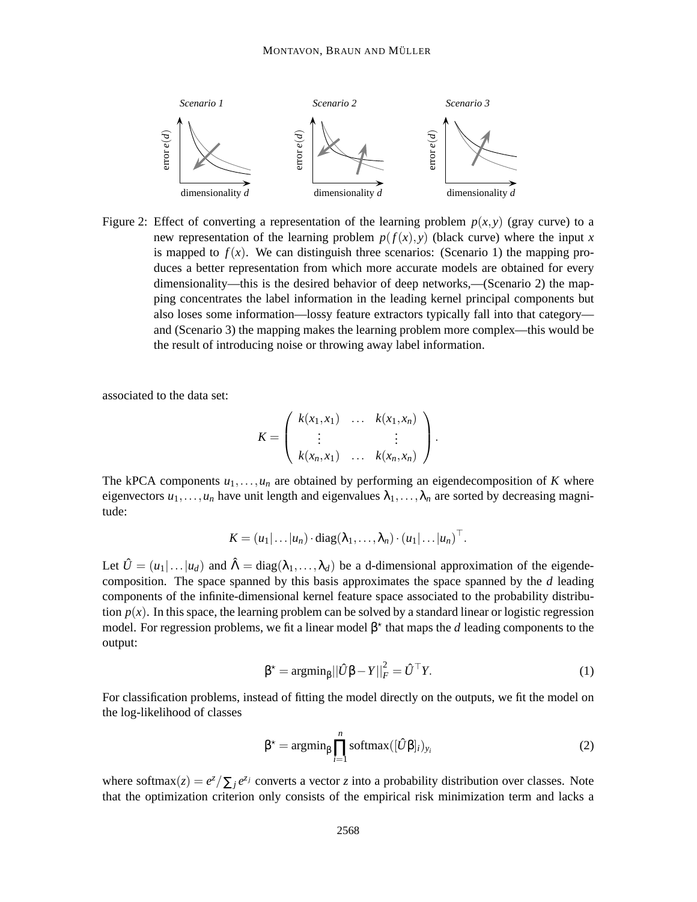

Figure 2: Effect of converting a representation of the learning problem  $p(x, y)$  (gray curve) to a new representation of the learning problem  $p(f(x), y)$  (black curve) where the input *x* is mapped to  $f(x)$ . We can distinguish three scenarios: (Scenario 1) the mapping produces a better representation from which more accurate models are obtained for every dimensionality—this is the desired behavior of deep networks,—(Scenario 2) the mapping concentrates the label information in the leading kernel principal components but also loses some information—lossy feature extractors typically fall into that category and (Scenario 3) the mapping makes the learning problem more complex—this would be the result of introducing noise or throwing away label information.

associated to the data set:

$$
K = \left(\begin{array}{cccc} k(x_1,x_1) & \dots & k(x_1,x_n) \\ \vdots & & \vdots \\ k(x_n,x_1) & \dots & k(x_n,x_n) \end{array}\right).
$$

The kPCA components  $u_1, \ldots, u_n$  are obtained by performing an eigendecomposition of *K* where eigenvectors  $u_1, \ldots, u_n$  have unit length and eigenvalues  $\lambda_1, \ldots, \lambda_n$  are sorted by decreasing magnitude:

$$
K = (u_1 | \dots | u_n) \cdot \text{diag}(\lambda_1, \dots, \lambda_n) \cdot (u_1 | \dots | u_n)^\top.
$$

Let  $\hat{U} = (u_1 | \dots | u_d)$  and  $\hat{\Lambda} = \text{diag}(\lambda_1, \dots, \lambda_d)$  be a d-dimensional approximation of the eigendecomposition. The space spanned by this basis approximates the space spanned by the *d* leading components of the infinite-dimensional kernel feature space associated to the probability distribution  $p(x)$ . In this space, the learning problem can be solved by a standard linear or logistic regression model. For regression problems, we fit a linear model  $\beta^*$  that maps the *d* leading components to the output:

$$
\beta^* = \operatorname{argmin}_{\beta} ||\hat{U}\beta - Y||_F^2 = \hat{U}^\top Y. \tag{1}
$$

For classification problems, instead of fitting the model directly on the outputs, we fit the model on the log-likelihood of classes

$$
\beta^* = \operatorname{argmin}_{\beta} \prod_{i=1}^n \operatorname{softmax}([\hat{U}\beta]_i)_{y_i}
$$
 (2)

where softmax $(z) = e^{z}/\sum_{j} e^{z_{j}}$  converts a vector *z* into a probability distribution over classes. Note that the optimization criterion only consists of the empirical risk minimization term and lacks a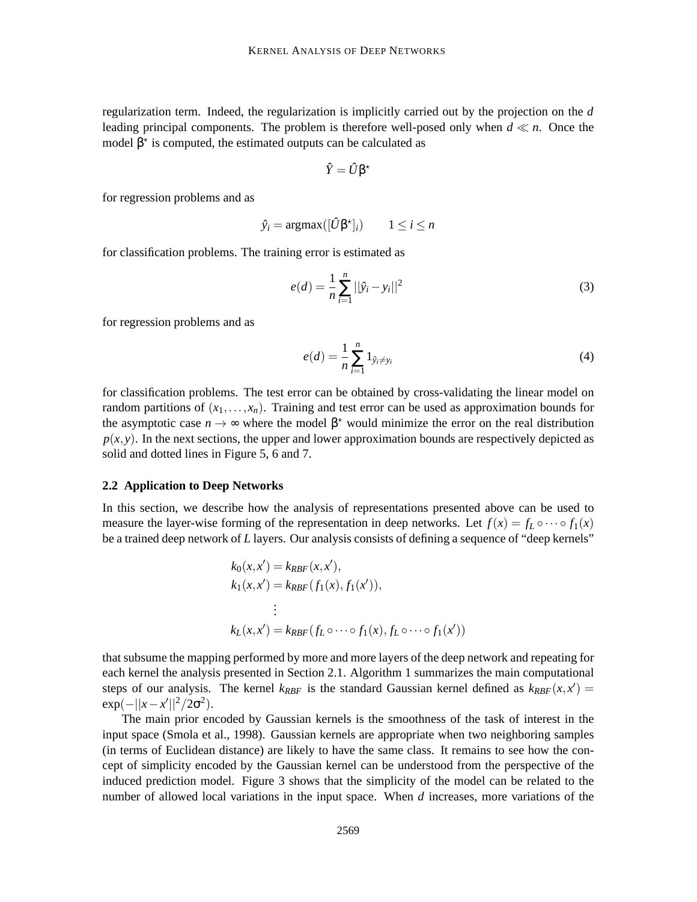regularization term. Indeed, the regularization is implicitly carried out by the projection on the *d* leading principal components. The problem is therefore well-posed only when  $d \ll n$ . Once the model  $\beta^*$  is computed, the estimated outputs can be calculated as

$$
\hat{Y} = \hat{U}\beta^{\star}
$$

for regression problems and as

$$
\hat{y}_i = \operatorname{argmax}([\hat{U}\beta^{\star}]_i) \qquad 1 \le i \le n
$$

for classification problems. The training error is estimated as

$$
e(d) = \frac{1}{n} \sum_{i=1}^{n} ||\hat{y}_i - y_i||^2
$$
 (3)

for regression problems and as

$$
e(d) = \frac{1}{n} \sum_{i=1}^{n} 1_{\hat{y}_i \neq y_i}
$$
 (4)

for classification problems. The test error can be obtained by cross-validating the linear model on random partitions of  $(x_1,...,x_n)$ . Training and test error can be used as approximation bounds for the asymptotic case  $n \to \infty$  where the model  $\beta^*$  would minimize the error on the real distribution  $p(x, y)$ . In the next sections, the upper and lower approximation bounds are respectively depicted as solid and dotted lines in Figure 5, 6 and 7.

#### **2.2 Application to Deep Networks**

In this section, we describe how the analysis of representations presented above can be used to measure the layer-wise forming of the representation in deep networks. Let  $f(x) = f_L \circ \cdots \circ f_1(x)$ be a trained deep network of *L* layers. Our analysis consists of defining a sequence of "deep kernels"

$$
k_0(x, x') = k_{RBF}(x, x'),
$$
  
\n
$$
k_1(x, x') = k_{RBF}(f_1(x), f_1(x')),
$$
  
\n
$$
\vdots
$$
  
\n
$$
k_L(x, x') = k_{RBF}(f_L \circ \cdots \circ f_1(x), f_L \circ \cdots \circ f_1(x'))
$$

that subsume the mapping performed by more and more layers of the deep network and repeating for each kernel the analysis presented in Section 2.1. Algorithm 1 summarizes the main computational steps of our analysis. The kernel  $k_{RBF}$  is the standard Gaussian kernel defined as  $k_{RBF}(x, x') =$  $\exp(-||x-x'||^2/2\sigma^2).$ 

The main prior encoded by Gaussian kernels is the smoothness of the task of interest in the input space (Smola et al., 1998). Gaussian kernels are appropriate when two neighboring samples (in terms of Euclidean distance) are likely to have the same class. It remains to see how the concept of simplicity encoded by the Gaussian kernel can be understood from the perspective of the induced prediction model. Figure 3 shows that the simplicity of the model can be related to the number of allowed local variations in the input space. When *d* increases, more variations of the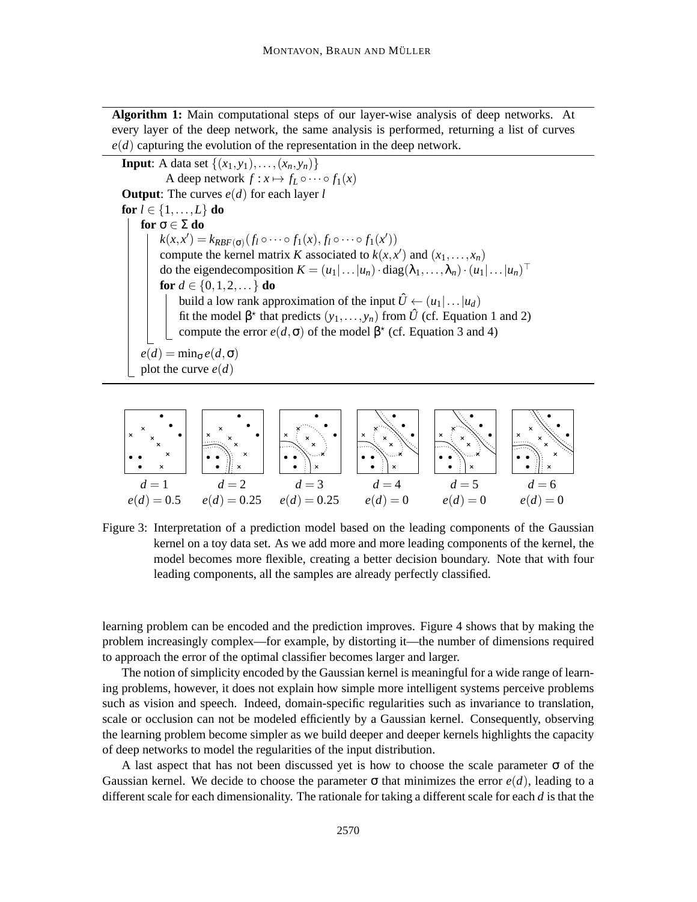**Algorithm 1:** Main computational steps of our layer-wise analysis of deep networks. At every layer of the deep network, the same analysis is performed, returning a list of curves *e*(*d*) capturing the evolution of the representation in the deep network.

**Input**: A data set  $\{(x_1, y_1), \ldots, (x_n, y_n)\}$ A deep network  $f: x \mapsto f_L \circ \cdots \circ f_1(x)$ **Output**: The curves *e*(*d*) for each layer *l* **for**  $l \in \{1, \ldots, L\}$  **do for** σ ∈ Σ **do**  $k(x, x') = k_{RBF(\sigma)}(f_1 \circ \cdots \circ f_1(x), f_1 \circ \cdots \circ f_1(x'))$ compute the kernel matrix *K* associated to  $k(x, x')$  and  $(x_1, \ldots, x_n)$ do the eigendecomposition  $K = (u_1 | ... | u_n) \cdot diag(\lambda_1, ..., \lambda_n) \cdot (u_1 | ... | u_n)^\top$ **for**  $d \in \{0, 1, 2, ...\}$  **do** build a low rank approximation of the input  $\hat{U} \leftarrow (u_1 | \dots | u_d)$ fit the model  $\beta^*$  that predicts  $(y_1, \ldots, y_n)$  from  $\hat{U}$  (cf. Equation 1 and 2) compute the error  $e(d, \sigma)$  of the model  $\beta^*$  (cf. Equation 3 and 4)  $e(d) = \min_{\sigma} e(d, \sigma)$ plot the curve  $e(d)$ 



Figure 3: Interpretation of a prediction model based on the leading components of the Gaussian kernel on a toy data set. As we add more and more leading components of the kernel, the model becomes more flexible, creating a better decision boundary. Note that with four leading components, all the samples are already perfectly classified.

learning problem can be encoded and the prediction improves. Figure 4 shows that by making the problem increasingly complex—for example, by distorting it—the number of dimensions required to approach the error of the optimal classifier becomes larger and larger.

The notion of simplicity encoded by the Gaussian kernel is meaningful for a wide range of learning problems, however, it does not explain how simple more intelligent systems perceive problems such as vision and speech. Indeed, domain-specific regularities such as invariance to translation, scale or occlusion can not be modeled efficiently by a Gaussian kernel. Consequently, observing the learning problem become simpler as we build deeper and deeper kernels highlights the capacity of deep networks to model the regularities of the input distribution.

A last aspect that has not been discussed yet is how to choose the scale parameter  $\sigma$  of the Gaussian kernel. We decide to choose the parameter  $\sigma$  that minimizes the error  $e(d)$ , leading to a different scale for each dimensionality. The rationale for taking a different scale for each *d* is that the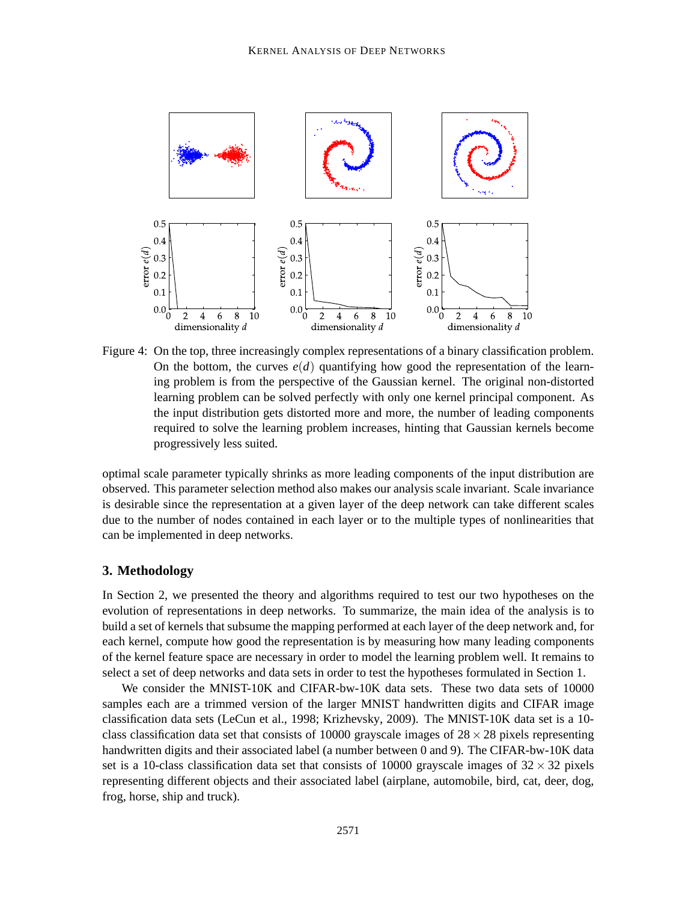

Figure 4: On the top, three increasingly complex representations of a binary classification problem. On the bottom, the curves  $e(d)$  quantifying how good the representation of the learning problem is from the perspective of the Gaussian kernel. The original non-distorted learning problem can be solved perfectly with only one kernel principal component. As the input distribution gets distorted more and more, the number of leading components required to solve the learning problem increases, hinting that Gaussian kernels become progressively less suited.

optimal scale parameter typically shrinks as more leading components of the input distribution are observed. This parameter selection method also makes our analysis scale invariant. Scale invariance is desirable since the representation at a given layer of the deep network can take different scales due to the number of nodes contained in each layer or to the multiple types of nonlinearities that can be implemented in deep networks.

### **3. Methodology**

In Section 2, we presented the theory and algorithms required to test our two hypotheses on the evolution of representations in deep networks. To summarize, the main idea of the analysis is to build a set of kernels that subsume the mapping performed at each layer of the deep network and, for each kernel, compute how good the representation is by measuring how many leading components of the kernel feature space are necessary in order to model the learning problem well. It remains to select a set of deep networks and data sets in order to test the hypotheses formulated in Section 1.

We consider the MNIST-10K and CIFAR-bw-10K data sets. These two data sets of 10000 samples each are a trimmed version of the larger MNIST handwritten digits and CIFAR image classification data sets (LeCun et al., 1998; Krizhevsky, 2009). The MNIST-10K data set is a 10 class classification data set that consists of 10000 grayscale images of  $28 \times 28$  pixels representing handwritten digits and their associated label (a number between 0 and 9). The CIFAR-bw-10K data set is a 10-class classification data set that consists of 10000 grayscale images of  $32 \times 32$  pixels representing different objects and their associated label (airplane, automobile, bird, cat, deer, dog, frog, horse, ship and truck).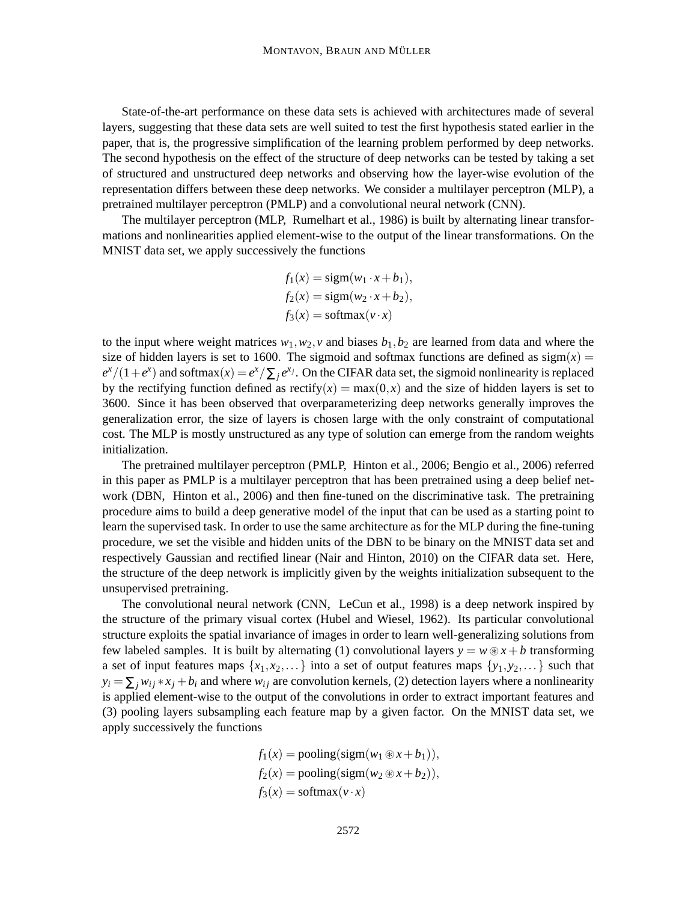State-of-the-art performance on these data sets is achieved with architectures made of several layers, suggesting that these data sets are well suited to test the first hypothesis stated earlier in the paper, that is, the progressive simplification of the learning problem performed by deep networks. The second hypothesis on the effect of the structure of deep networks can be tested by taking a set of structured and unstructured deep networks and observing how the layer-wise evolution of the representation differs between these deep networks. We consider a multilayer perceptron (MLP), a pretrained multilayer perceptron (PMLP) and a convolutional neural network (CNN).

The multilayer perceptron (MLP, Rumelhart et al., 1986) is built by alternating linear transformations and nonlinearities applied element-wise to the output of the linear transformations. On the MNIST data set, we apply successively the functions

$$
f_1(x) = sign(w_1 \cdot x + b_1),
$$
  
\n
$$
f_2(x) = sign(w_2 \cdot x + b_2),
$$
  
\n
$$
f_3(x) = softmax(v \cdot x)
$$

to the input where weight matrices  $w_1, w_2, v$  and biases  $b_1, b_2$  are learned from data and where the size of hidden layers is set to 1600. The sigmoid and softmax functions are defined as  $sign(x)$  =  $e^{x}/(1+e^{x})$  and softmax $(x) = e^{x}/\sum_{j} e^{x_{j}}$ . On the CIFAR data set, the sigmoid nonlinearity is replaced by the rectifying function defined as rectify( $x$ ) = max( $0, x$ ) and the size of hidden layers is set to 3600. Since it has been observed that overparameterizing deep networks generally improves the generalization error, the size of layers is chosen large with the only constraint of computational cost. The MLP is mostly unstructured as any type of solution can emerge from the random weights initialization.

The pretrained multilayer perceptron (PMLP, Hinton et al., 2006; Bengio et al., 2006) referred in this paper as PMLP is a multilayer perceptron that has been pretrained using a deep belief network (DBN, Hinton et al., 2006) and then fine-tuned on the discriminative task. The pretraining procedure aims to build a deep generative model of the input that can be used as a starting point to learn the supervised task. In order to use the same architecture as for the MLP during the fine-tuning procedure, we set the visible and hidden units of the DBN to be binary on the MNIST data set and respectively Gaussian and rectified linear (Nair and Hinton, 2010) on the CIFAR data set. Here, the structure of the deep network is implicitly given by the weights initialization subsequent to the unsupervised pretraining.

The convolutional neural network (CNN, LeCun et al., 1998) is a deep network inspired by the structure of the primary visual cortex (Hubel and Wiesel, 1962). Its particular convolutional structure exploits the spatial invariance of images in order to learn well-generalizing solutions from few labeled samples. It is built by alternating (1) convolutional layers  $y = w \otimes x + b$  transforming a set of input features maps  $\{x_1, x_2, \ldots\}$  into a set of output features maps  $\{y_1, y_2, \ldots\}$  such that  $y_i = \sum_j w_{ij} * x_j + b_i$  and where  $w_{ij}$  are convolution kernels, (2) detection layers where a nonlinearity is applied element-wise to the output of the convolutions in order to extract important features and (3) pooling layers subsampling each feature map by a given factor. On the MNIST data set, we apply successively the functions

> $f_1(x) = \text{pooling}(\text{sigm}(w_1 \otimes x + b_1)),$  $f_2(x) = \text{pooling}(\text{sigm}(w_2 \otimes x + b_2)),$  $f_3(x) = \text{softmax}(v \cdot x)$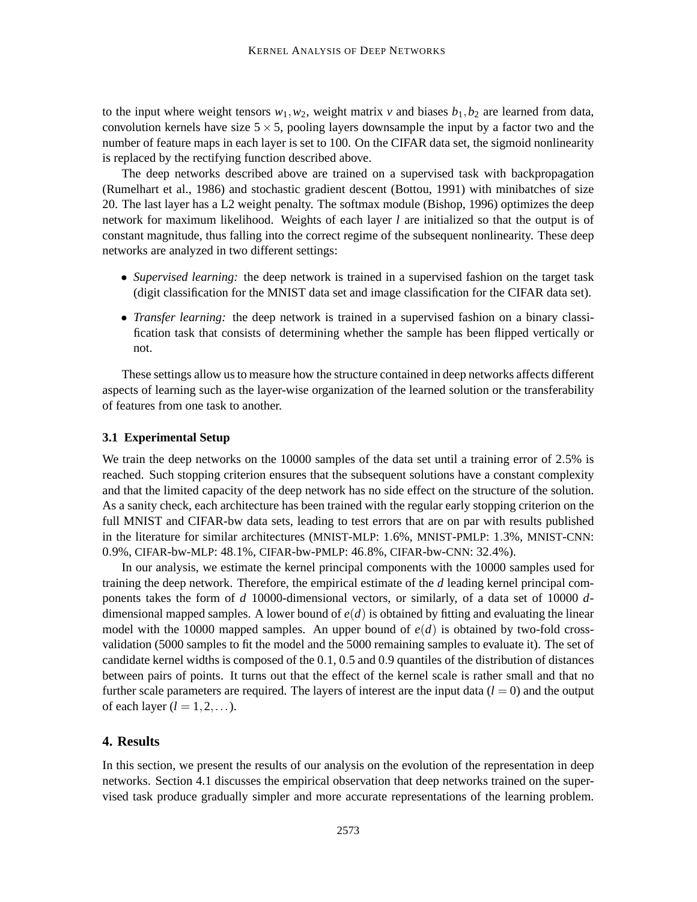to the input where weight tensors  $w_1, w_2$ , weight matrix  $v$  and biases  $b_1, b_2$  are learned from data, convolution kernels have size  $5 \times 5$ , pooling layers downsample the input by a factor two and the number of feature maps in each layer is set to 100. On the CIFAR data set, the sigmoid nonlinearity is replaced by the rectifying function described above.

The deep networks described above are trained on a supervised task with backpropagation (Rumelhart et al., 1986) and stochastic gradient descent (Bottou, 1991) with minibatches of size 20. The last layer has a L2 weight penalty. The softmax module (Bishop, 1996) optimizes the deep network for maximum likelihood. Weights of each layer *l* are initialized so that the output is of constant magnitude, thus falling into the correct regime of the subsequent nonlinearity. These deep networks are analyzed in two different settings:

- *Supervised learning:* the deep network is trained in a supervised fashion on the target task (digit classification for the MNIST data set and image classification for the CIFAR data set).
- *Transfer learning:* the deep network is trained in a supervised fashion on a binary classification task that consists of determining whether the sample has been flipped vertically or not.

These settings allow us to measure how the structure contained in deep networks affects different aspects of learning such as the layer-wise organization of the learned solution or the transferability of features from one task to another.

#### **3.1 Experimental Setup**

We train the deep networks on the 10000 samples of the data set until a training error of 2.5% is reached. Such stopping criterion ensures that the subsequent solutions have a constant complexity and that the limited capacity of the deep network has no side effect on the structure of the solution. As a sanity check, each architecture has been trained with the regular early stopping criterion on the full MNIST and CIFAR-bw data sets, leading to test errors that are on par with results published in the literature for similar architectures (MNIST-MLP: 1.6%, MNIST-PMLP: 1.3%, MNIST-CNN: 0.9%, CIFAR-bw-MLP: 48.1%, CIFAR-bw-PMLP: 46.8%, CIFAR-bw-CNN: 32.4%).

In our analysis, we estimate the kernel principal components with the 10000 samples used for training the deep network. Therefore, the empirical estimate of the *d* leading kernel principal components takes the form of *d* 10000-dimensional vectors, or similarly, of a data set of 10000 *d*dimensional mapped samples. A lower bound of *e*(*d*) is obtained by fitting and evaluating the linear model with the 10000 mapped samples. An upper bound of  $e(d)$  is obtained by two-fold crossvalidation (5000 samples to fit the model and the 5000 remaining samples to evaluate it). The set of candidate kernel widths is composed of the 0.1, 0.5 and 0.9 quantiles of the distribution of distances between pairs of points. It turns out that the effect of the kernel scale is rather small and that no further scale parameters are required. The layers of interest are the input data  $(l = 0)$  and the output of each layer  $(l = 1, 2, \ldots)$ .

# **4. Results**

In this section, we present the results of our analysis on the evolution of the representation in deep networks. Section 4.1 discusses the empirical observation that deep networks trained on the supervised task produce gradually simpler and more accurate representations of the learning problem.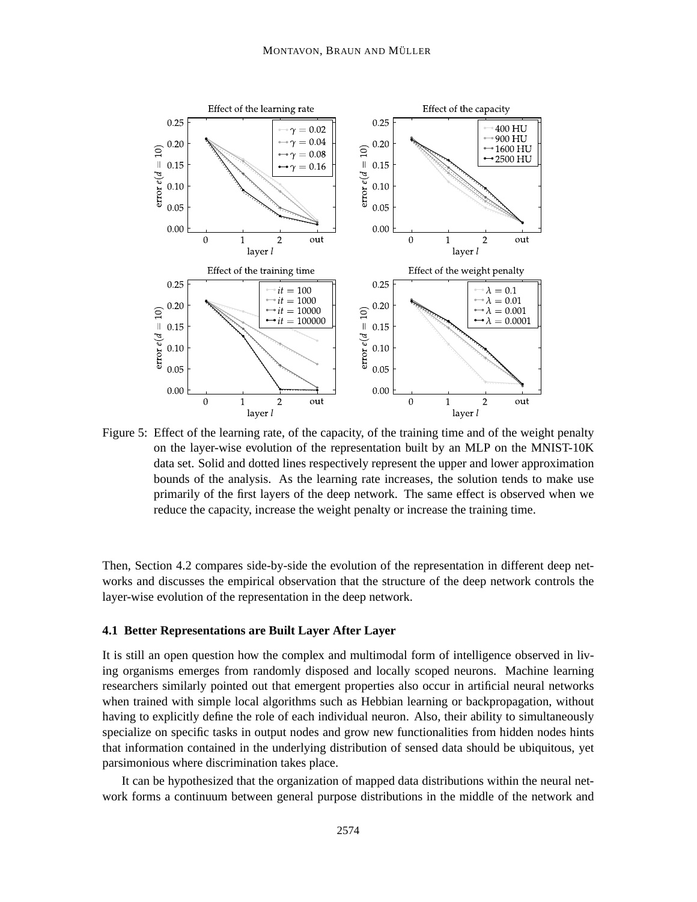

Figure 5: Effect of the learning rate, of the capacity, of the training time and of the weight penalty on the layer-wise evolution of the representation built by an MLP on the MNIST-10K data set. Solid and dotted lines respectively represent the upper and lower approximation bounds of the analysis. As the learning rate increases, the solution tends to make use primarily of the first layers of the deep network. The same effect is observed when we reduce the capacity, increase the weight penalty or increase the training time.

Then, Section 4.2 compares side-by-side the evolution of the representation in different deep networks and discusses the empirical observation that the structure of the deep network controls the layer-wise evolution of the representation in the deep network.

#### **4.1 Better Representations are Built Layer After Layer**

It is still an open question how the complex and multimodal form of intelligence observed in living organisms emerges from randomly disposed and locally scoped neurons. Machine learning researchers similarly pointed out that emergent properties also occur in artificial neural networks when trained with simple local algorithms such as Hebbian learning or backpropagation, without having to explicitly define the role of each individual neuron. Also, their ability to simultaneously specialize on specific tasks in output nodes and grow new functionalities from hidden nodes hints that information contained in the underlying distribution of sensed data should be ubiquitous, yet parsimonious where discrimination takes place.

It can be hypothesized that the organization of mapped data distributions within the neural network forms a continuum between general purpose distributions in the middle of the network and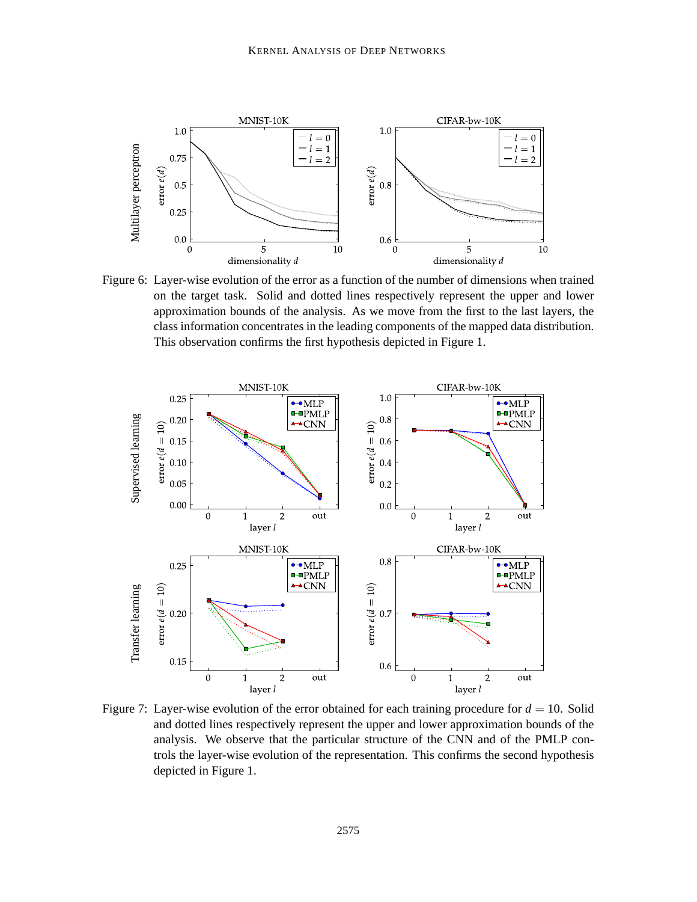

Figure 6: Layer-wise evolution of the error as a function of the number of dimensions when trained on the target task. Solid and dotted lines respectively represent the upper and lower approximation bounds of the analysis. As we move from the first to the last layers, the class information concentrates in the leading components of the mapped data distribution. This observation confirms the first hypothesis depicted in Figure 1.



Figure 7: Layer-wise evolution of the error obtained for each training procedure for  $d = 10$ . Solid and dotted lines respectively represent the upper and lower approximation bounds of the analysis. We observe that the particular structure of the CNN and of the PMLP controls the layer-wise evolution of the representation. This confirms the second hypothesis depicted in Figure 1.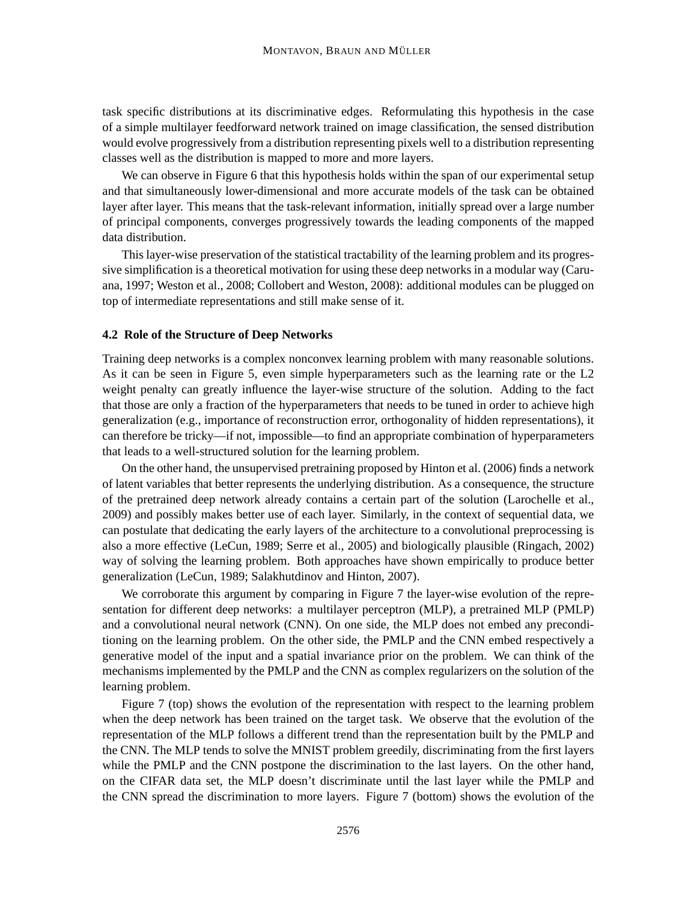task specific distributions at its discriminative edges. Reformulating this hypothesis in the case of a simple multilayer feedforward network trained on image classification, the sensed distribution would evolve progressively from a distribution representing pixels well to a distribution representing classes well as the distribution is mapped to more and more layers.

We can observe in Figure 6 that this hypothesis holds within the span of our experimental setup and that simultaneously lower-dimensional and more accurate models of the task can be obtained layer after layer. This means that the task-relevant information, initially spread over a large number of principal components, converges progressively towards the leading components of the mapped data distribution.

This layer-wise preservation of the statistical tractability of the learning problem and its progressive simplification is a theoretical motivation for using these deep networks in a modular way (Caruana, 1997; Weston et al., 2008; Collobert and Weston, 2008): additional modules can be plugged on top of intermediate representations and still make sense of it.

#### **4.2 Role of the Structure of Deep Networks**

Training deep networks is a complex nonconvex learning problem with many reasonable solutions. As it can be seen in Figure 5, even simple hyperparameters such as the learning rate or the L2 weight penalty can greatly influence the layer-wise structure of the solution. Adding to the fact that those are only a fraction of the hyperparameters that needs to be tuned in order to achieve high generalization (e.g., importance of reconstruction error, orthogonality of hidden representations), it can therefore be tricky—if not, impossible—to find an appropriate combination of hyperparameters that leads to a well-structured solution for the learning problem.

On the other hand, the unsupervised pretraining proposed by Hinton et al. (2006) finds a network of latent variables that better represents the underlying distribution. As a consequence, the structure of the pretrained deep network already contains a certain part of the solution (Larochelle et al., 2009) and possibly makes better use of each layer. Similarly, in the context of sequential data, we can postulate that dedicating the early layers of the architecture to a convolutional preprocessing is also a more effective (LeCun, 1989; Serre et al., 2005) and biologically plausible (Ringach, 2002) way of solving the learning problem. Both approaches have shown empirically to produce better generalization (LeCun, 1989; Salakhutdinov and Hinton, 2007).

We corroborate this argument by comparing in Figure 7 the layer-wise evolution of the representation for different deep networks: a multilayer perceptron (MLP), a pretrained MLP (PMLP) and a convolutional neural network (CNN). On one side, the MLP does not embed any preconditioning on the learning problem. On the other side, the PMLP and the CNN embed respectively a generative model of the input and a spatial invariance prior on the problem. We can think of the mechanisms implemented by the PMLP and the CNN as complex regularizers on the solution of the learning problem.

Figure 7 (top) shows the evolution of the representation with respect to the learning problem when the deep network has been trained on the target task. We observe that the evolution of the representation of the MLP follows a different trend than the representation built by the PMLP and the CNN. The MLP tends to solve the MNIST problem greedily, discriminating from the first layers while the PMLP and the CNN postpone the discrimination to the last layers. On the other hand, on the CIFAR data set, the MLP doesn't discriminate until the last layer while the PMLP and the CNN spread the discrimination to more layers. Figure 7 (bottom) shows the evolution of the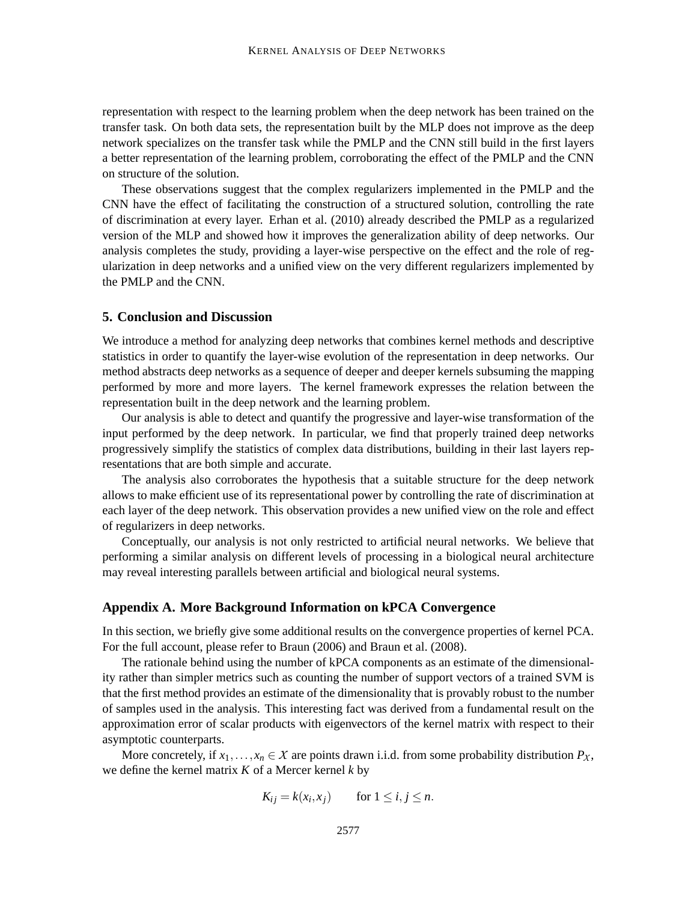representation with respect to the learning problem when the deep network has been trained on the transfer task. On both data sets, the representation built by the MLP does not improve as the deep network specializes on the transfer task while the PMLP and the CNN still build in the first layers a better representation of the learning problem, corroborating the effect of the PMLP and the CNN on structure of the solution.

These observations suggest that the complex regularizers implemented in the PMLP and the CNN have the effect of facilitating the construction of a structured solution, controlling the rate of discrimination at every layer. Erhan et al. (2010) already described the PMLP as a regularized version of the MLP and showed how it improves the generalization ability of deep networks. Our analysis completes the study, providing a layer-wise perspective on the effect and the role of regularization in deep networks and a unified view on the very different regularizers implemented by the PMLP and the CNN.

#### **5. Conclusion and Discussion**

We introduce a method for analyzing deep networks that combines kernel methods and descriptive statistics in order to quantify the layer-wise evolution of the representation in deep networks. Our method abstracts deep networks as a sequence of deeper and deeper kernels subsuming the mapping performed by more and more layers. The kernel framework expresses the relation between the representation built in the deep network and the learning problem.

Our analysis is able to detect and quantify the progressive and layer-wise transformation of the input performed by the deep network. In particular, we find that properly trained deep networks progressively simplify the statistics of complex data distributions, building in their last layers representations that are both simple and accurate.

The analysis also corroborates the hypothesis that a suitable structure for the deep network allows to make efficient use of its representational power by controlling the rate of discrimination at each layer of the deep network. This observation provides a new unified view on the role and effect of regularizers in deep networks.

Conceptually, our analysis is not only restricted to artificial neural networks. We believe that performing a similar analysis on different levels of processing in a biological neural architecture may reveal interesting parallels between artificial and biological neural systems.

#### **Appendix A. More Background Information on kPCA Convergence**

In this section, we briefly give some additional results on the convergence properties of kernel PCA. For the full account, please refer to Braun (2006) and Braun et al. (2008).

The rationale behind using the number of kPCA components as an estimate of the dimensionality rather than simpler metrics such as counting the number of support vectors of a trained SVM is that the first method provides an estimate of the dimensionality that is provably robust to the number of samples used in the analysis. This interesting fact was derived from a fundamental result on the approximation error of scalar products with eigenvectors of the kernel matrix with respect to their asymptotic counterparts.

More concretely, if  $x_1, \ldots, x_n \in \mathcal{X}$  are points drawn i.i.d. from some probability distribution  $P_{\mathcal{X}}$ , we define the kernel matrix *K* of a Mercer kernel *k* by

$$
K_{ij} = k(x_i, x_j) \qquad \text{for } 1 \le i, j \le n.
$$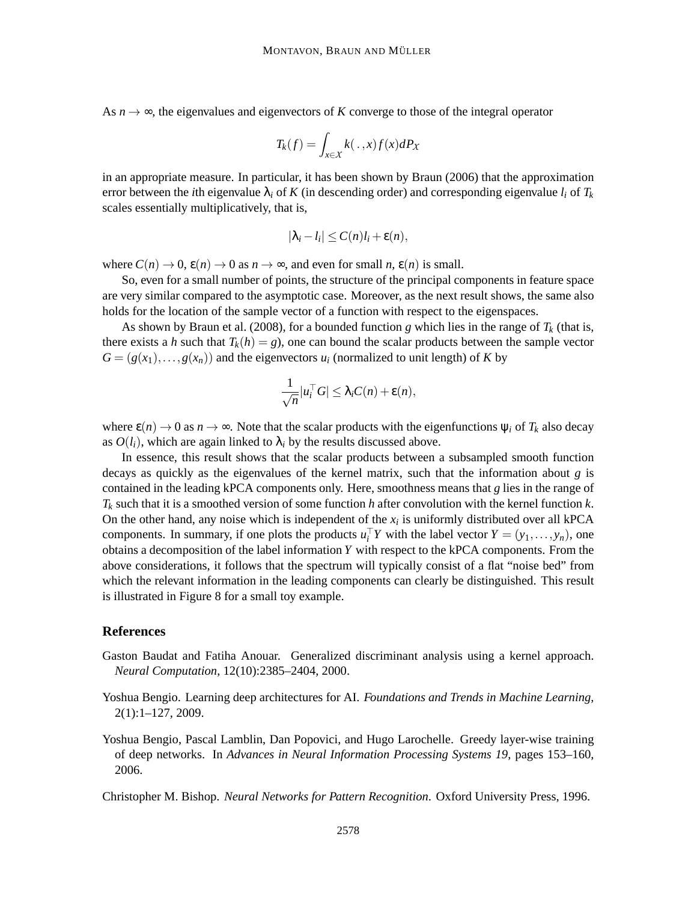As  $n \rightarrow \infty$ , the eigenvalues and eigenvectors of *K* converge to those of the integral operator

$$
T_k(f) = \int_{x \in \mathcal{X}} k(\,.\,,x) f(x) \, dP_X
$$

in an appropriate measure. In particular, it has been shown by Braun (2006) that the approximation error between the *i*th eigenvalue  $\lambda_i$  of K (in descending order) and corresponding eigenvalue  $l_i$  of  $T_k$ scales essentially multiplicatively, that is,

$$
|\lambda_i - l_i| \leq C(n)l_i + \varepsilon(n),
$$

where  $C(n) \to 0$ ,  $\varepsilon(n) \to 0$  as  $n \to \infty$ , and even for small *n*,  $\varepsilon(n)$  is small.

So, even for a small number of points, the structure of the principal components in feature space are very similar compared to the asymptotic case. Moreover, as the next result shows, the same also holds for the location of the sample vector of a function with respect to the eigenspaces.

As shown by Braun et al. (2008), for a bounded function *g* which lies in the range of  $T_k$  (that is, there exists a *h* such that  $T_k(h) = g$ , one can bound the scalar products between the sample vector  $G = (g(x_1), \ldots, g(x_n))$  and the eigenvectors  $u_i$  (normalized to unit length) of *K* by

$$
\frac{1}{\sqrt{n}}|u_i^{\top}G| \leq \lambda_i C(n) + \varepsilon(n),
$$

where  $\epsilon(n) \to 0$  as  $n \to \infty$ . Note that the scalar products with the eigenfunctions  $\psi_i$  of  $T_k$  also decay as  $O(l_i)$ , which are again linked to  $\lambda_i$  by the results discussed above.

In essence, this result shows that the scalar products between a subsampled smooth function decays as quickly as the eigenvalues of the kernel matrix, such that the information about *g* is contained in the leading kPCA components only. Here, smoothness means that *g* lies in the range of *T<sup>k</sup>* such that it is a smoothed version of some function *h* after convolution with the kernel function *k*. On the other hand, any noise which is independent of the  $x_i$  is uniformly distributed over all kPCA components. In summary, if one plots the products  $u_i^{\dagger} Y$  with the label vector  $Y = (y_1, \ldots, y_n)$ , one obtains a decomposition of the label information *Y* with respect to the kPCA components. From the above considerations, it follows that the spectrum will typically consist of a flat "noise bed" from which the relevant information in the leading components can clearly be distinguished. This result is illustrated in Figure 8 for a small toy example.

## **References**

- Gaston Baudat and Fatiha Anouar. Generalized discriminant analysis using a kernel approach. *Neural Computation*, 12(10):2385–2404, 2000.
- Yoshua Bengio. Learning deep architectures for AI. *Foundations and Trends in Machine Learning*, 2(1):1–127, 2009.
- Yoshua Bengio, Pascal Lamblin, Dan Popovici, and Hugo Larochelle. Greedy layer-wise training of deep networks. In *Advances in Neural Information Processing Systems 19*, pages 153–160, 2006.

Christopher M. Bishop. *Neural Networks for Pattern Recognition*. Oxford University Press, 1996.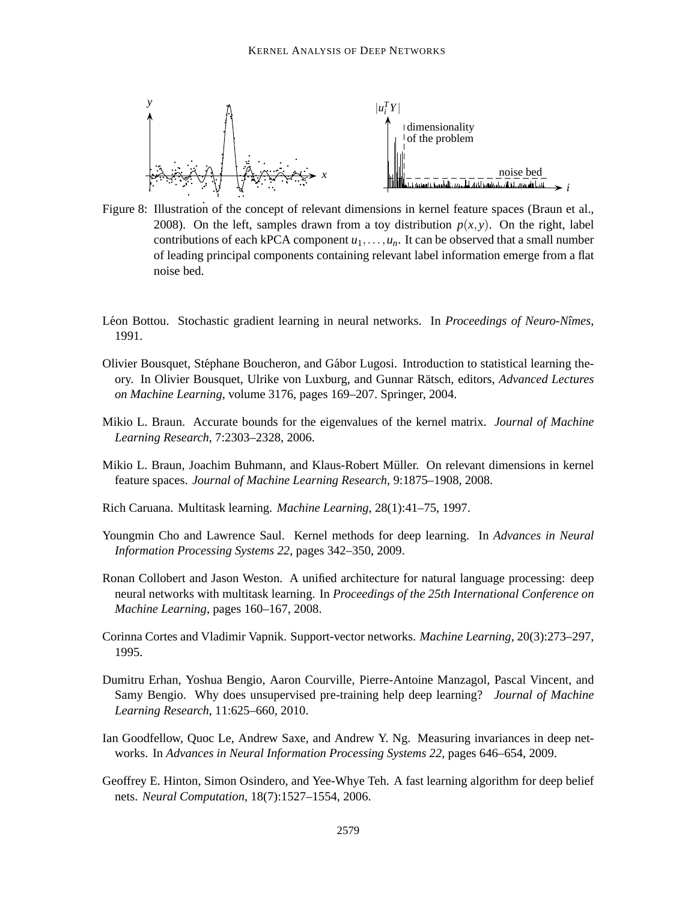

Figure 8: Illustration of the concept of relevant dimensions in kernel feature spaces (Braun et al., 2008). On the left, samples drawn from a toy distribution  $p(x, y)$ . On the right, label contributions of each kPCA component  $u_1, \ldots, u_n$ . It can be observed that a small number of leading principal components containing relevant label information emerge from a flat noise bed.

- Léon Bottou. Stochastic gradient learning in neural networks. In *Proceedings of Neuro-Nîmes*, 1991.
- Olivier Bousquet, Stéphane Boucheron, and Gábor Lugosi. Introduction to statistical learning theory. In Olivier Bousquet, Ulrike von Luxburg, and Gunnar Rätsch, editors, *Advanced Lectures on Machine Learning*, volume 3176, pages 169–207. Springer, 2004.
- Mikio L. Braun. Accurate bounds for the eigenvalues of the kernel matrix. *Journal of Machine Learning Research*, 7:2303–2328, 2006.
- Mikio L. Braun, Joachim Buhmann, and Klaus-Robert Muller. On relevant dimensions in kernel ¨ feature spaces. *Journal of Machine Learning Research*, 9:1875–1908, 2008.
- Rich Caruana. Multitask learning. *Machine Learning*, 28(1):41–75, 1997.
- Youngmin Cho and Lawrence Saul. Kernel methods for deep learning. In *Advances in Neural Information Processing Systems 22*, pages 342–350, 2009.
- Ronan Collobert and Jason Weston. A unified architecture for natural language processing: deep neural networks with multitask learning. In *Proceedings of the 25th International Conference on Machine Learning*, pages 160–167, 2008.
- Corinna Cortes and Vladimir Vapnik. Support-vector networks. *Machine Learning*, 20(3):273–297, 1995.
- Dumitru Erhan, Yoshua Bengio, Aaron Courville, Pierre-Antoine Manzagol, Pascal Vincent, and Samy Bengio. Why does unsupervised pre-training help deep learning? *Journal of Machine Learning Research*, 11:625–660, 2010.
- Ian Goodfellow, Quoc Le, Andrew Saxe, and Andrew Y. Ng. Measuring invariances in deep networks. In *Advances in Neural Information Processing Systems 22*, pages 646–654, 2009.
- Geoffrey E. Hinton, Simon Osindero, and Yee-Whye Teh. A fast learning algorithm for deep belief nets. *Neural Computation*, 18(7):1527–1554, 2006.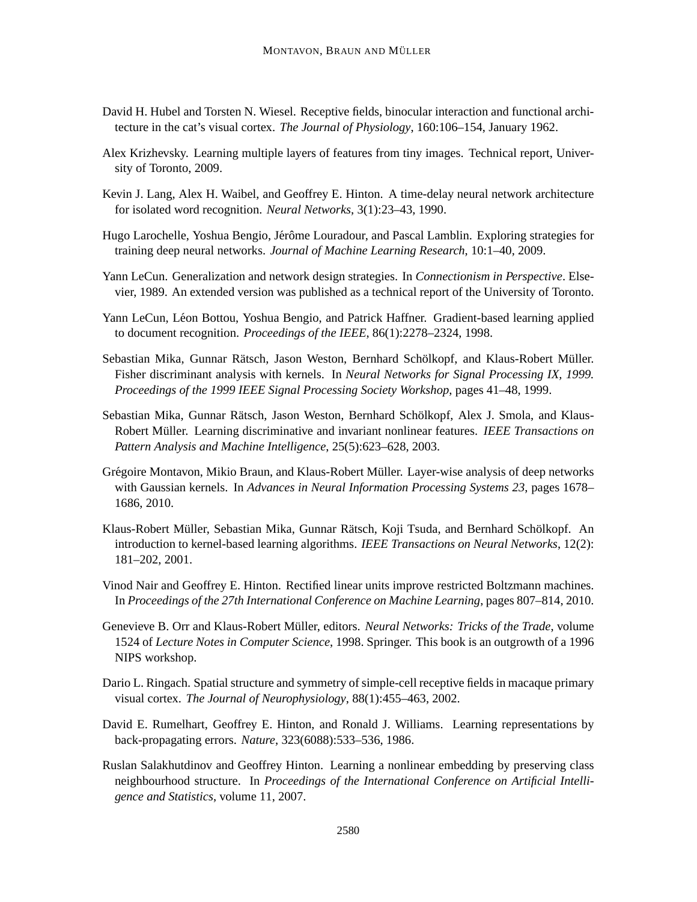- David H. Hubel and Torsten N. Wiesel. Receptive fields, binocular interaction and functional architecture in the cat's visual cortex. *The Journal of Physiology*, 160:106–154, January 1962.
- Alex Krizhevsky. Learning multiple layers of features from tiny images. Technical report, University of Toronto, 2009.
- Kevin J. Lang, Alex H. Waibel, and Geoffrey E. Hinton. A time-delay neural network architecture for isolated word recognition. *Neural Networks*, 3(1):23–43, 1990.
- Hugo Larochelle, Yoshua Bengio, Jérôme Louradour, and Pascal Lamblin. Exploring strategies for training deep neural networks. *Journal of Machine Learning Research*, 10:1–40, 2009.
- Yann LeCun. Generalization and network design strategies. In *Connectionism in Perspective*. Elsevier, 1989. An extended version was published as a technical report of the University of Toronto.
- Yann LeCun, Léon Bottou, Yoshua Bengio, and Patrick Haffner. Gradient-based learning applied to document recognition. *Proceedings of the IEEE*, 86(1):2278–2324, 1998.
- Sebastian Mika, Gunnar Rätsch, Jason Weston, Bernhard Schölkopf, and Klaus-Robert Müller. Fisher discriminant analysis with kernels. In *Neural Networks for Signal Processing IX, 1999. Proceedings of the 1999 IEEE Signal Processing Society Workshop*, pages 41–48, 1999.
- Sebastian Mika, Gunnar Rätsch, Jason Weston, Bernhard Schölkopf, Alex J. Smola, and Klaus-Robert Müller. Learning discriminative and invariant nonlinear features. *IEEE Transactions on Pattern Analysis and Machine Intelligence*, 25(5):623–628, 2003.
- Grégoire Montavon, Mikio Braun, and Klaus-Robert Müller. Layer-wise analysis of deep networks with Gaussian kernels. In *Advances in Neural Information Processing Systems 23*, pages 1678– 1686, 2010.
- Klaus-Robert Müller, Sebastian Mika, Gunnar Rätsch, Koji Tsuda, and Bernhard Schölkopf. An introduction to kernel-based learning algorithms. *IEEE Transactions on Neural Networks*, 12(2): 181–202, 2001.
- Vinod Nair and Geoffrey E. Hinton. Rectified linear units improve restricted Boltzmann machines. In *Proceedings of the 27th International Conference on Machine Learning*, pages 807–814, 2010.
- Genevieve B. Orr and Klaus-Robert Müller, editors. Neural Networks: Tricks of the Trade, volume 1524 of *Lecture Notes in Computer Science*, 1998. Springer. This book is an outgrowth of a 1996 NIPS workshop.
- Dario L. Ringach. Spatial structure and symmetry of simple-cell receptive fields in macaque primary visual cortex. *The Journal of Neurophysiology*, 88(1):455–463, 2002.
- David E. Rumelhart, Geoffrey E. Hinton, and Ronald J. Williams. Learning representations by back-propagating errors. *Nature*, 323(6088):533–536, 1986.
- Ruslan Salakhutdinov and Geoffrey Hinton. Learning a nonlinear embedding by preserving class neighbourhood structure. In *Proceedings of the International Conference on Artificial Intelligence and Statistics*, volume 11, 2007.